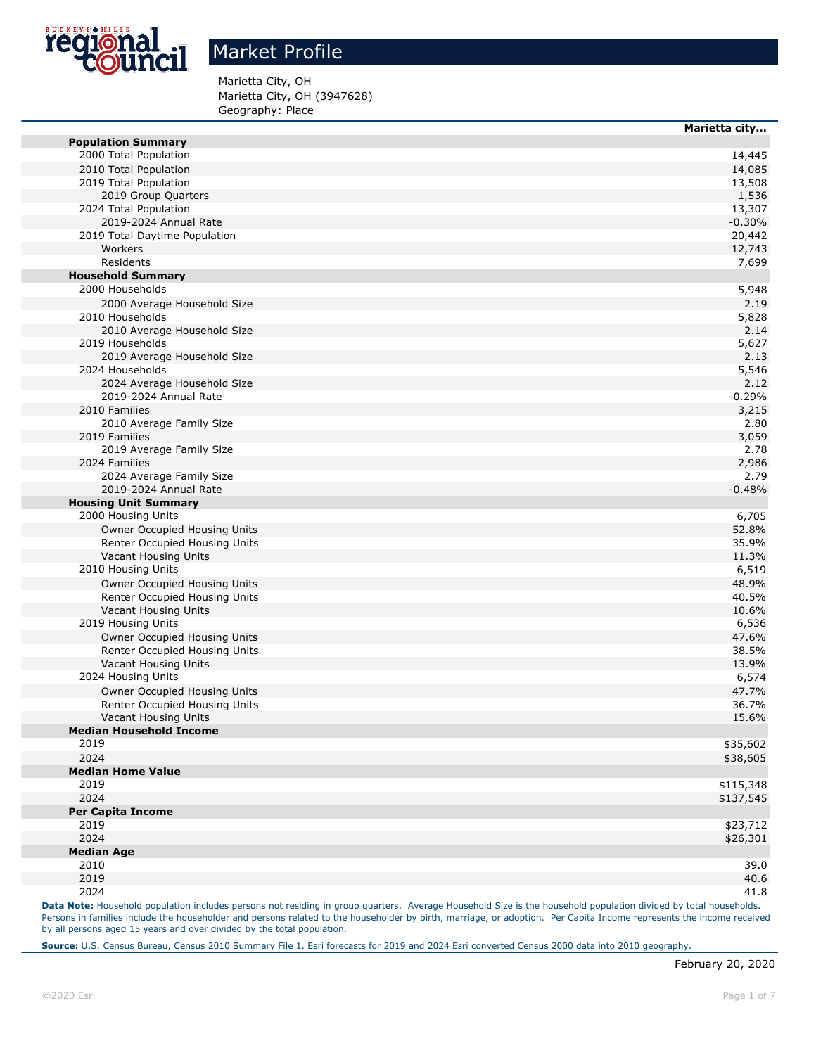

Marietta City, OH Marietta City, OH (3947628) Geography: Place

|                                | Marietta city |
|--------------------------------|---------------|
| <b>Population Summary</b>      |               |
| 2000 Total Population          | 14,445        |
| 2010 Total Population          | 14,085        |
| 2019 Total Population          | 13,508        |
| 2019 Group Quarters            | 1,536         |
| 2024 Total Population          | 13,307        |
| 2019-2024 Annual Rate          | $-0.30%$      |
| 2019 Total Daytime Population  | 20,442        |
| Workers                        | 12,743        |
| Residents                      | 7,699         |
| <b>Household Summary</b>       |               |
| 2000 Households                | 5,948         |
| 2000 Average Household Size    | 2.19          |
| 2010 Households                | 5,828         |
| 2010 Average Household Size    | 2.14          |
| 2019 Households                | 5,627         |
| 2019 Average Household Size    | 2.13          |
| 2024 Households                | 5,546         |
| 2024 Average Household Size    | 2.12          |
| 2019-2024 Annual Rate          | $-0.29%$      |
| 2010 Families                  | 3,215         |
| 2010 Average Family Size       | 2.80          |
| 2019 Families                  | 3,059         |
| 2019 Average Family Size       | 2.78          |
| 2024 Families                  | 2,986         |
| 2024 Average Family Size       | 2.79          |
| 2019-2024 Annual Rate          | $-0.48%$      |
|                                |               |
| <b>Housing Unit Summary</b>    |               |
| 2000 Housing Units             | 6,705         |
| Owner Occupied Housing Units   | 52.8%         |
| Renter Occupied Housing Units  | 35.9%         |
| Vacant Housing Units           | 11.3%         |
| 2010 Housing Units             | 6,519         |
| Owner Occupied Housing Units   | 48.9%         |
| Renter Occupied Housing Units  | 40.5%         |
| Vacant Housing Units           | 10.6%         |
| 2019 Housing Units             | 6,536         |
| Owner Occupied Housing Units   | 47.6%         |
| Renter Occupied Housing Units  | 38.5%         |
| Vacant Housing Units           | 13.9%         |
| 2024 Housing Units             | 6,574         |
| Owner Occupied Housing Units   | 47.7%         |
| Renter Occupied Housing Units  | 36.7%         |
| Vacant Housing Units           | 15.6%         |
| <b>Median Household Income</b> |               |
| 2019                           | \$35,602      |
| 2024                           | \$38,605      |
| <b>Median Home Value</b>       |               |
| 2019                           | \$115,348     |
| 2024                           | \$137,545     |
| <b>Per Capita Income</b>       |               |
| 2019                           | \$23,712      |
| 2024                           | \$26,301      |
| <b>Median Age</b>              |               |
| 2010                           | 39.0          |
| 2019                           | 40.6          |
| 2024                           | 41.8          |
|                                |               |

Data Note: Household population includes persons not residing in group quarters. Average Household Size is the household population divided by total households. Persons in families include the householder and persons related to the householder by birth, marriage, or adoption. Per Capita Income represents the income received by all persons aged 15 years and over divided by the total population.

**Source:** U.S. Census Bureau, Census 2010 Summary File 1. Esri forecasts for 2019 and 2024 Esri converted Census 2000 data into 2010 geography.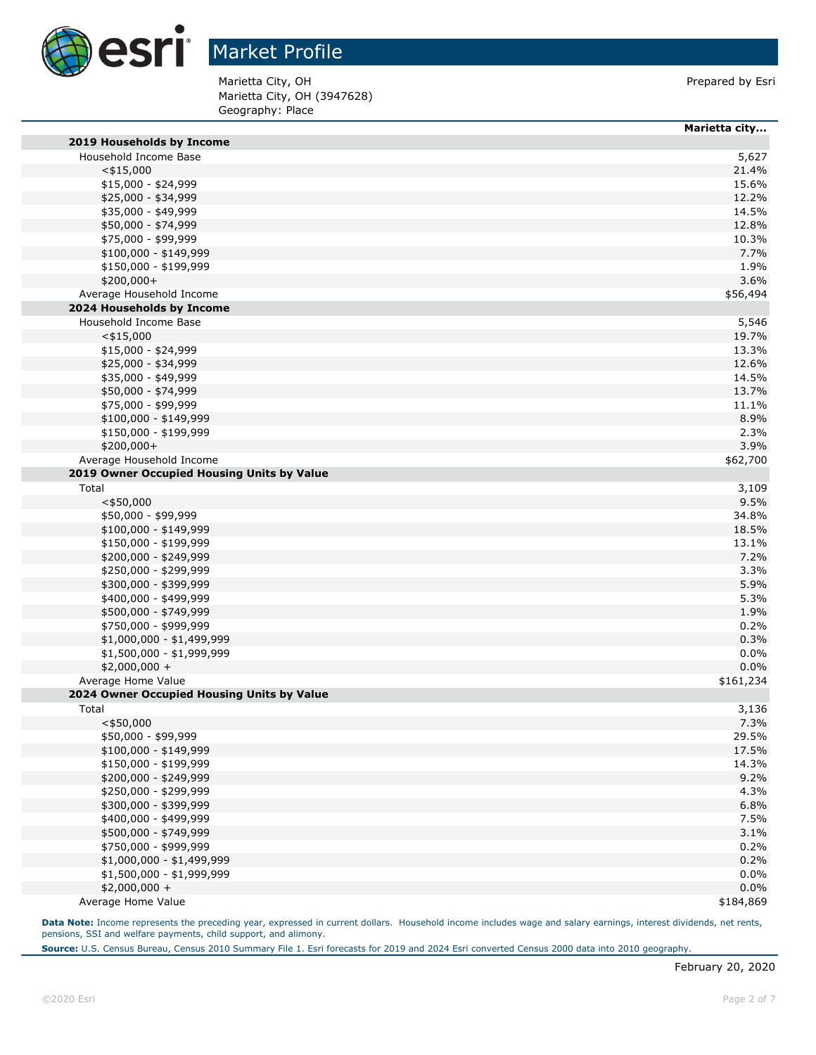

Marietta City, OH (3947628) Geography: Place Marietta City, OH **Prepared by Esri** 

|                                            | Marietta city |
|--------------------------------------------|---------------|
| 2019 Households by Income                  |               |
| Household Income Base                      | 5,627         |
| $<$ \$15,000                               | 21.4%         |
| \$15,000 - \$24,999                        | 15.6%         |
| \$25,000 - \$34,999                        | 12.2%         |
| \$35,000 - \$49,999                        | 14.5%         |
| \$50,000 - \$74,999                        | 12.8%         |
| \$75,000 - \$99,999                        | 10.3%         |
| $$100,000 - $149,999$                      | 7.7%          |
| \$150,000 - \$199,999                      | 1.9%          |
| \$200,000+                                 | 3.6%          |
| Average Household Income                   | \$56,494      |
| 2024 Households by Income                  |               |
| Household Income Base                      | 5,546         |
| $<$ \$15,000                               | 19.7%         |
| $$15,000 - $24,999$                        | 13.3%         |
| \$25,000 - \$34,999                        | 12.6%         |
| \$35,000 - \$49,999                        | 14.5%         |
| \$50,000 - \$74,999                        | 13.7%         |
| \$75,000 - \$99,999                        | 11.1%         |
| \$100,000 - \$149,999                      | 8.9%          |
| \$150,000 - \$199,999                      | 2.3%          |
| $$200,000+$                                | 3.9%          |
| Average Household Income                   | \$62,700      |
| 2019 Owner Occupied Housing Units by Value |               |
| Total                                      | 3,109         |
| $<$ \$50,000                               | 9.5%          |
| \$50,000 - \$99,999                        | 34.8%         |
| \$100,000 - \$149,999                      | 18.5%         |
| \$150,000 - \$199,999                      | 13.1%         |
| \$200,000 - \$249,999                      | 7.2%          |
| \$250,000 - \$299,999                      | 3.3%          |
| \$300,000 - \$399,999                      | 5.9%          |
| \$400,000 - \$499,999                      | 5.3%          |
| \$500,000 - \$749,999                      | 1.9%          |
| \$750,000 - \$999,999                      | 0.2%          |
| $$1,000,000 - $1,499,999$                  | 0.3%          |
| \$1,500,000 - \$1,999,999                  | 0.0%          |
| \$2,000,000 +                              | 0.0%          |
| Average Home Value                         | \$161,234     |
| 2024 Owner Occupied Housing Units by Value |               |
| Total                                      | 3,136         |
| $<$ \$50,000                               | 7.3%          |
| \$50,000 - \$99,999                        | 29.5%         |
| \$100,000 - \$149,999                      | 17.5%         |
| \$150,000 - \$199,999                      | 14.3%         |
| \$200,000 - \$249,999                      | 9.2%          |
| \$250,000 - \$299,999                      | 4.3%          |
| \$300,000 - \$399,999                      | 6.8%          |
| \$400,000 - \$499,999                      | 7.5%          |
| \$500,000 - \$749,999                      | 3.1%          |
| \$750,000 - \$999,999                      | 0.2%          |
| \$1,000,000 - \$1,499,999                  | 0.2%          |
| \$1,500,000 - \$1,999,999                  | $0.0\%$       |
| $$2,000,000 +$                             | 0.0%          |
| Average Home Value                         | \$184,869     |

Data Note: Income represents the preceding year, expressed in current dollars. Household income includes wage and salary earnings, interest dividends, net rents, pensions, SSI and welfare payments, child support, and alimony.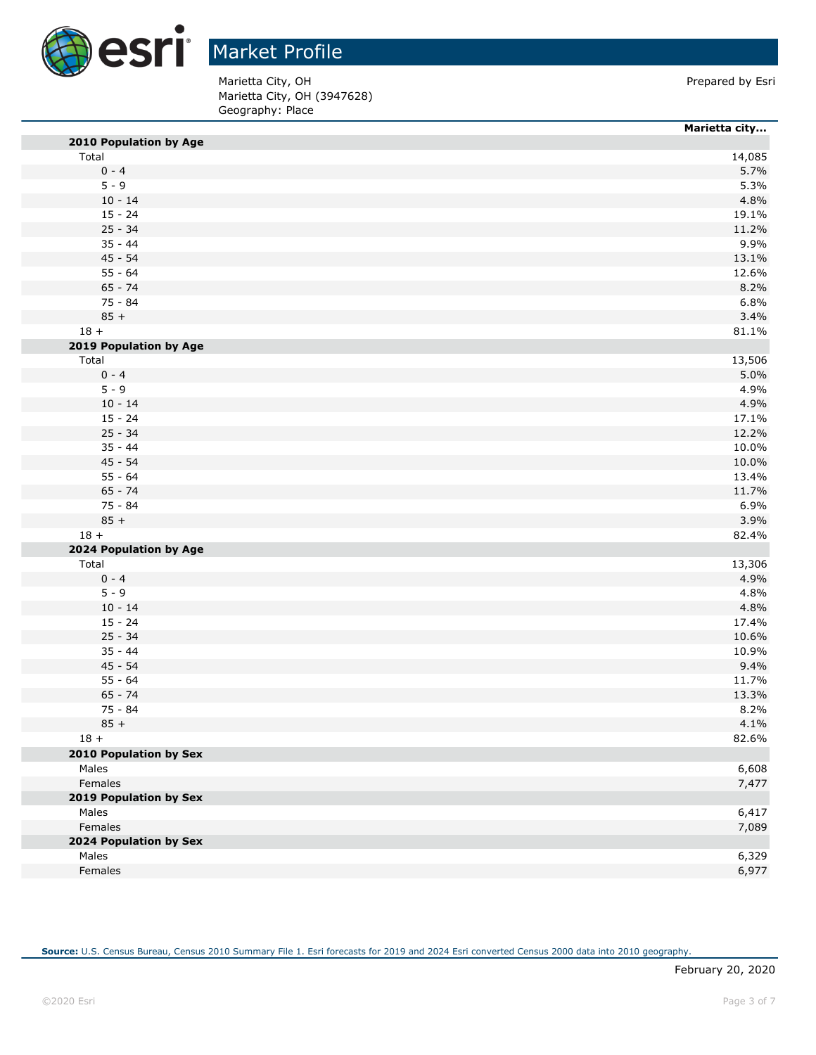

Marietta City, OH (3947628) Geography: Place Marietta City, OH **Prepared by Esri** 

|                        | Marietta city |
|------------------------|---------------|
| 2010 Population by Age |               |
| Total                  | 14,085        |
| $0 - 4$                | 5.7%          |
| $5 - 9$                | 5.3%          |
| $10 - 14$              | 4.8%          |
| $15 - 24$              | 19.1%         |
| $25 - 34$              | 11.2%         |
| $35 - 44$              | 9.9%          |
| $45 - 54$              | 13.1%         |
| $55 - 64$              | 12.6%         |
| $65 - 74$              | 8.2%          |
| $75 - 84$              | 6.8%          |
| $85 +$                 | 3.4%          |
| $18 +$                 | 81.1%         |
| 2019 Population by Age |               |
| Total                  | 13,506        |
| $0 - 4$                | 5.0%          |
| $5 - 9$                | 4.9%          |
| $10 - 14$              | 4.9%          |
| $15 - 24$              | 17.1%         |
| $25 - 34$              | 12.2%         |
| $35 - 44$              | 10.0%         |
| $45 - 54$              | 10.0%         |
| $55 - 64$              | 13.4%         |
| $65 - 74$              | 11.7%         |
| $75 - 84$              | 6.9%          |
| $85 +$                 | 3.9%          |
| $18 +$                 | 82.4%         |
| 2024 Population by Age |               |
| Total                  | 13,306        |
| $0 - 4$                | 4.9%          |
| $5 - 9$                | 4.8%          |
| $10 - 14$              | 4.8%          |
| $15 - 24$              | 17.4%         |
| $25 - 34$              | 10.6%         |
| $35 - 44$              | 10.9%         |
| $45 - 54$              | 9.4%          |
| $55 - 64$              | 11.7%         |
| $65 - 74$              | 13.3%         |
| 75 - 84                | 8.2%          |
| $85 +$                 | 4.1%          |
| $18 +$                 | 82.6%         |
| 2010 Population by Sex |               |
| Males                  | 6,608         |
| Females                | 7,477         |
| 2019 Population by Sex |               |
| Males                  | 6,417         |
| Females                | 7,089         |
| 2024 Population by Sex |               |
| Males                  | 6,329         |
| Females                | 6,977         |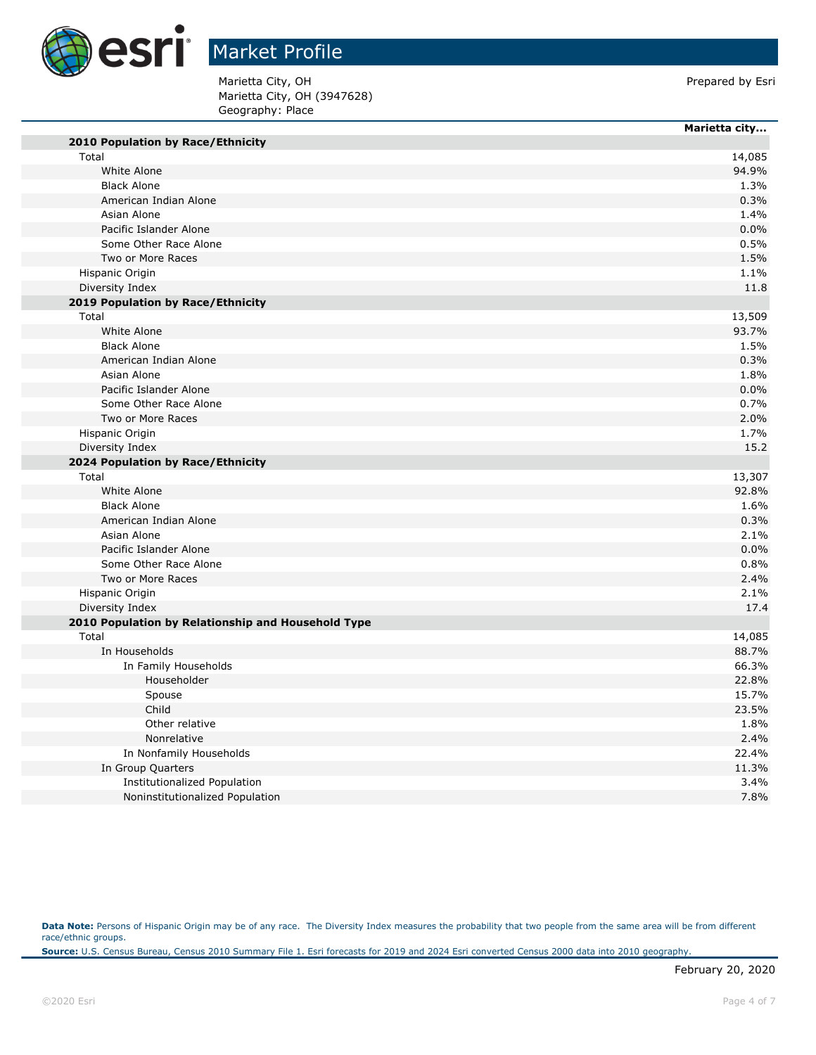

# Market Profile

Marietta City, OH **Prepared by Esri** Marietta City, OH (3947628) Geography: Place

۰

|                                                    | Marietta city |
|----------------------------------------------------|---------------|
| 2010 Population by Race/Ethnicity                  |               |
| Total                                              | 14,085        |
| White Alone                                        | 94.9%         |
| <b>Black Alone</b>                                 | 1.3%          |
| American Indian Alone                              | 0.3%          |
| Asian Alone                                        | 1.4%          |
| Pacific Islander Alone                             | 0.0%          |
| Some Other Race Alone                              | 0.5%          |
| Two or More Races                                  | 1.5%          |
| Hispanic Origin                                    | 1.1%          |
| Diversity Index                                    | 11.8          |
| 2019 Population by Race/Ethnicity                  |               |
| Total                                              | 13,509        |
| White Alone                                        | 93.7%         |
| <b>Black Alone</b>                                 | 1.5%          |
| American Indian Alone                              | 0.3%          |
| Asian Alone                                        | 1.8%          |
| Pacific Islander Alone                             | 0.0%          |
| Some Other Race Alone                              | 0.7%          |
| Two or More Races                                  | 2.0%          |
| Hispanic Origin                                    | 1.7%          |
| Diversity Index                                    | 15.2          |
| 2024 Population by Race/Ethnicity                  |               |
| Total                                              | 13,307        |
| White Alone                                        | 92.8%         |
| <b>Black Alone</b>                                 | 1.6%          |
| American Indian Alone                              | 0.3%          |
| Asian Alone                                        | 2.1%          |
| Pacific Islander Alone                             | 0.0%          |
| Some Other Race Alone                              | 0.8%          |
| Two or More Races                                  | 2.4%          |
| Hispanic Origin                                    | 2.1%          |
| Diversity Index                                    | 17.4          |
| 2010 Population by Relationship and Household Type |               |
| Total                                              | 14,085        |
| In Households                                      | 88.7%         |
| In Family Households                               | 66.3%         |
| Householder                                        | 22.8%         |
| Spouse                                             | 15.7%         |
| Child                                              | 23.5%         |
| Other relative                                     | 1.8%          |
| Nonrelative                                        | 2.4%          |
| In Nonfamily Households                            | 22.4%         |
| In Group Quarters                                  | 11.3%         |
| <b>Institutionalized Population</b>                | 3.4%          |
| Noninstitutionalized Population                    | 7.8%          |

Data Note: Persons of Hispanic Origin may be of any race. The Diversity Index measures the probability that two people from the same area will be from different race/ethnic groups.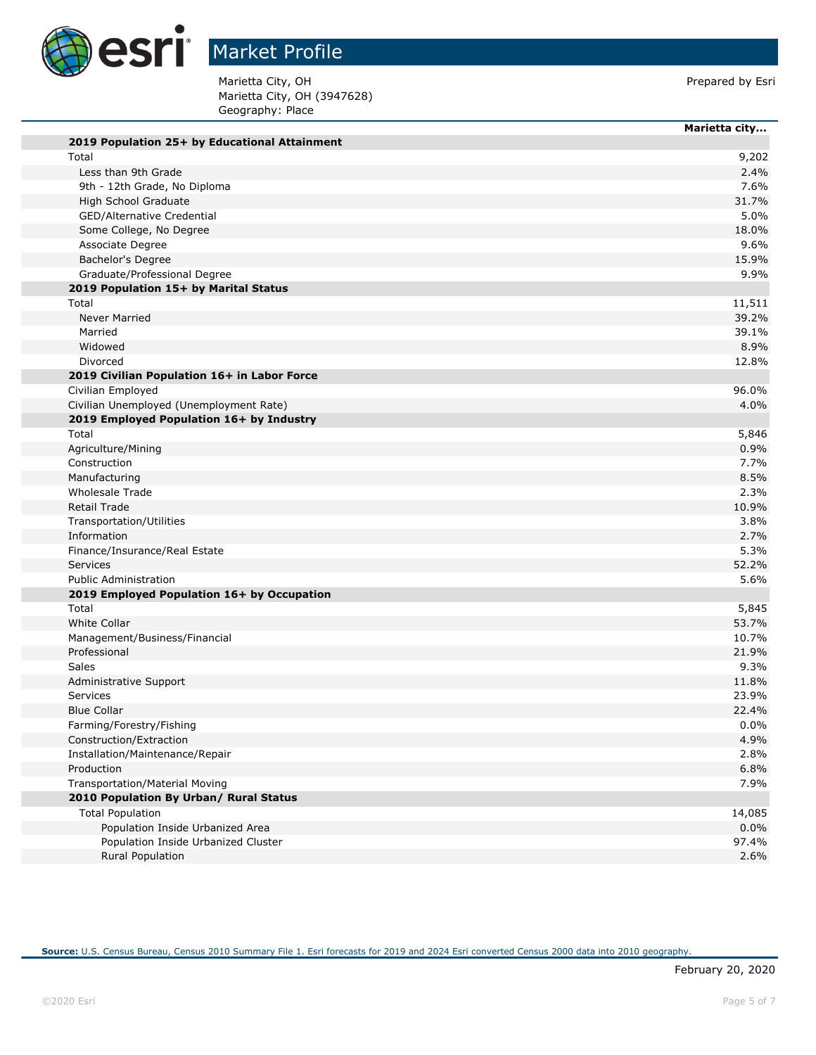

Marietta City, OH (3947628) Geography: Place Marietta City, OH **Prepared by Esri** 

|                                               | Marietta city |
|-----------------------------------------------|---------------|
| 2019 Population 25+ by Educational Attainment |               |
| Total                                         |               |
| Less than 9th Grade                           |               |
| 9th - 12th Grade, No Diploma                  |               |
| High School Graduate                          |               |
| GED/Alternative Credential                    |               |
| Some College, No Degree                       |               |
| Associate Degree                              |               |
| Bachelor's Degree                             |               |
| Graduate/Professional Degree                  |               |
| 2019 Population 15+ by Marital Status         |               |
| Total                                         | 11,511        |
| <b>Never Married</b>                          |               |
| Married                                       |               |
| Widowed                                       |               |
| Divorced                                      |               |
| 2019 Civilian Population 16+ in Labor Force   |               |
| Civilian Employed                             | 96.0%         |
| Civilian Unemployed (Unemployment Rate)       |               |
| 2019 Employed Population 16+ by Industry      |               |
| Total                                         |               |
| Agriculture/Mining                            |               |
| Construction                                  |               |
| Manufacturing                                 |               |
| <b>Wholesale Trade</b>                        |               |
| Retail Trade                                  | 10.9%         |
| Transportation/Utilities                      |               |
| Information                                   |               |
| Finance/Insurance/Real Estate                 |               |
| Services                                      |               |
| <b>Public Administration</b>                  |               |
| 2019 Employed Population 16+ by Occupation    |               |
| Total                                         |               |
| <b>White Collar</b>                           | 53.7%         |
| Management/Business/Financial                 | 10.7%         |
| Professional                                  | 21.9%         |
| Sales                                         |               |
| Administrative Support                        | 11.8%         |
| Services                                      | 23.9%         |
| <b>Blue Collar</b>                            | 22.4%         |
| Farming/Forestry/Fishing                      |               |
| Construction/Extraction                       |               |
| Installation/Maintenance/Repair               |               |
| Production                                    |               |
| Transportation/Material Moving                |               |
| 2010 Population By Urban/ Rural Status        |               |
|                                               |               |
| <b>Total Population</b>                       | 14,085        |
| Population Inside Urbanized Area              |               |
| Population Inside Urbanized Cluster           | 97.4%         |
| Rural Population                              |               |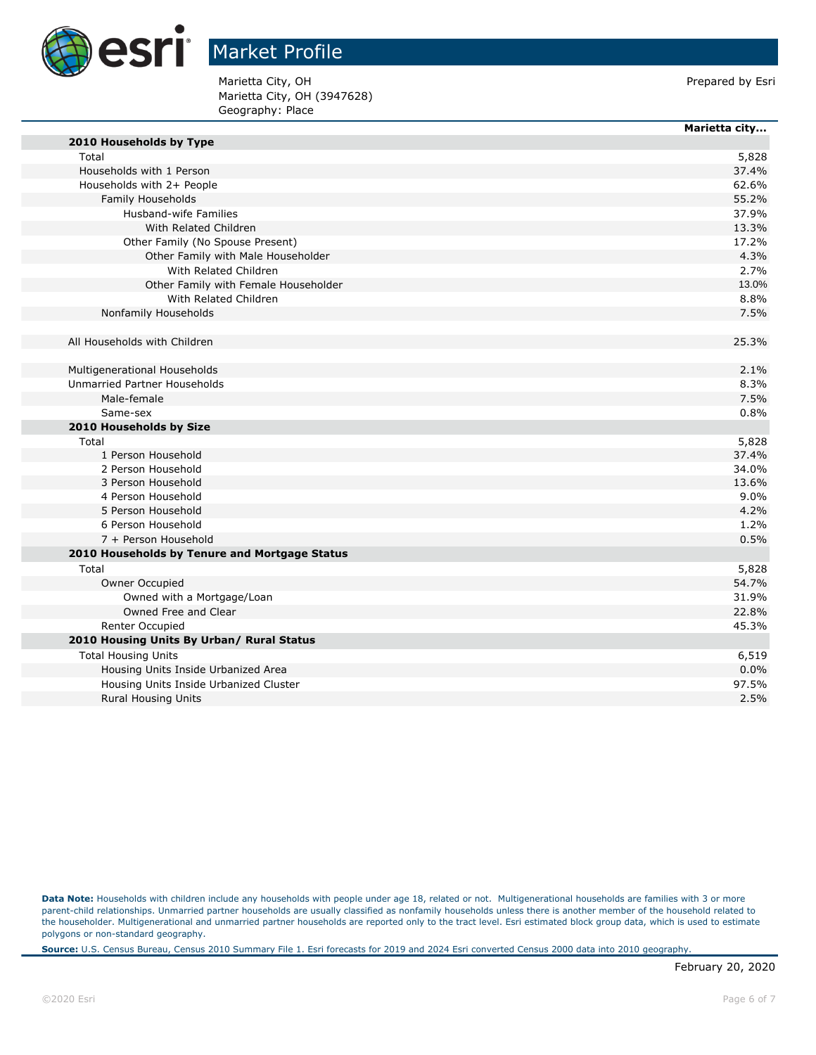

**Marietta city...**

Marietta City, OH **Prepared by Esri** Prepared by Esri Marietta City, OH (3947628) Geography: Place

| 2010 Households by Type                       |       |
|-----------------------------------------------|-------|
| Total                                         | 5,828 |
| Households with 1 Person                      | 37.4% |
| Households with 2+ People                     | 62.6% |
| Family Households                             | 55.2% |
| Husband-wife Families                         | 37.9% |
| With Related Children                         | 13.3% |
| Other Family (No Spouse Present)              | 17.2% |
| Other Family with Male Householder            | 4.3%  |
| With Related Children                         | 2.7%  |
| Other Family with Female Householder          | 13.0% |
| With Related Children                         | 8.8%  |
| Nonfamily Households                          | 7.5%  |
|                                               |       |
| All Households with Children                  | 25.3% |
|                                               |       |
| Multigenerational Households                  | 2.1%  |
| Unmarried Partner Households                  | 8.3%  |
| Male-female                                   | 7.5%  |
| Same-sex                                      | 0.8%  |
| 2010 Households by Size                       |       |
| Total                                         | 5,828 |
| 1 Person Household                            | 37.4% |
| 2 Person Household                            | 34.0% |
| 3 Person Household                            | 13.6% |
| 4 Person Household                            | 9.0%  |
| 5 Person Household                            | 4.2%  |
| 6 Person Household                            | 1.2%  |
| 7 + Person Household                          | 0.5%  |
| 2010 Households by Tenure and Mortgage Status |       |
| Total                                         | 5,828 |
| Owner Occupied                                | 54.7% |
| Owned with a Mortgage/Loan                    | 31.9% |
| Owned Free and Clear                          | 22.8% |
| Renter Occupied                               | 45.3% |
| 2010 Housing Units By Urban/ Rural Status     |       |
| <b>Total Housing Units</b>                    | 6,519 |
| Housing Units Inside Urbanized Area           | 0.0%  |
| Housing Units Inside Urbanized Cluster        | 97.5% |
| <b>Rural Housing Units</b>                    | 2.5%  |
|                                               |       |

Data Note: Households with children include any households with people under age 18, related or not. Multigenerational households are families with 3 or more parent-child relationships. Unmarried partner households are usually classified as nonfamily households unless there is another member of the household related to the householder. Multigenerational and unmarried partner households are reported only to the tract level. Esri estimated block group data, which is used to estimate polygons or non-standard geography.

**Source:** U.S. Census Bureau, Census 2010 Summary File 1. Esri forecasts for 2019 and 2024 Esri converted Census 2000 data into 2010 geography.